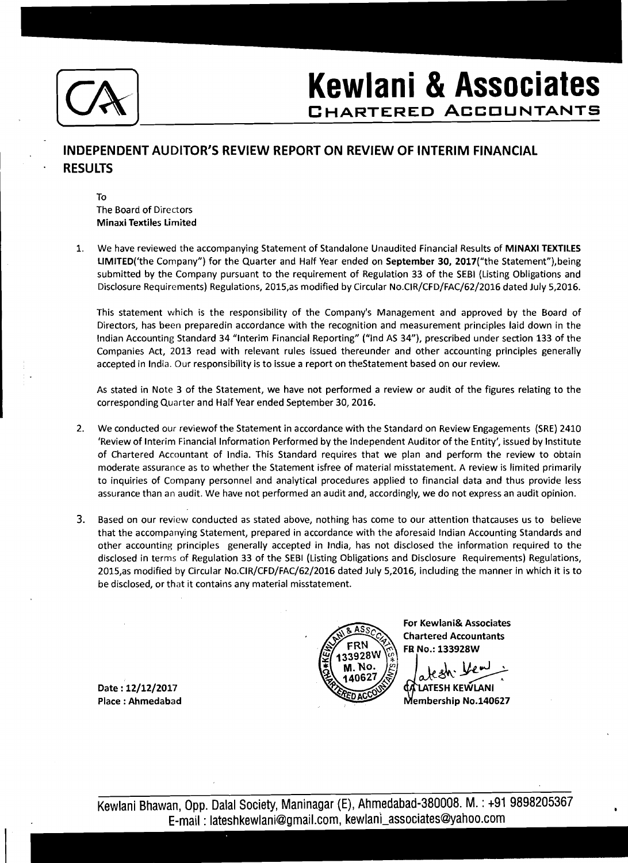

## **Kewlani** & **Associates**

## **INDEPENDENT AUDITOR'S REVIEW REPORT ON REVIEW OF INTERIM FINANCIAL RESULTS**

To The Board of Directors Minaxi Textiles Limited

1. We have reviewed the accompanying Statement of Standalone Unaudited Financial Results of MlNAXl TEXTILES LIMITED('the Company") for the Quarter and Half Year ended on September 30, 2017("the Statement"), being submitted by the Company pursuant to the requirement of Regulation 33 of the SEBl (Listing Obligations and Disclosure Requirements) Regulations, 2015,as modified by Circular No.CIR/CFD/FAC/62/2016 dated July 5,2016.

This statement which is the responsibility of the Company's Management and approved by the Board of Directors, has been preparedin accordance with the recognition and measurement principles laid down in the Indian Accounting Standard 34 "Interim Financial Reporting" ("lnd AS 34"), prescribed under section 133 of the Companies Act, 2013 read with relevant rules issued thereunder and other accounting principles generally accepted in India. Our responsibility is to issue a report on thestatement based on our review.

As stated in Note 3 of the Statement, we have not performed a review or audit of the figures relating to the corresponding Quarter and Half Year ended September 30,2016.

- 2. We conducted our reviewof the Statement in accordance with the Standard on Review Engagements (SRE) 2410 'Review of Interim Financial Information Performed by the Independent Auditor of the Entity', issued by Institute of Chartered Accountant of India. This Standard requires that we plan and perform the review to obtain moderate assurance as to whether the Statement isfree of material misstatement. A review is limited primarily to inquiries of Company personnel and analytical procedures applied to financial data and thus provide less assurance than an audit. We have not performed an audit and, accordingly, we do not express an audit opinion.
- **3.** Based on our review conducted as stated above, nothing has come to our attention thatcauses us to believe that the accompanying Statement, prepared in accordance with the aforesaid Indian Accounting Standards and other accounting principles generally accepted in India, has not disclosed the information required to the disclosed in terms of Regulation 33 of the SEBl (Listing Obligations and Disclosure Requirements) Regulations, 2015,as modified by Circular No.CIR/CFD/FAC/62/2016 dated July 5,2016, including the manner in which it is to be disclosed, or that it contains any material misstatement.



For Kewlani& Associates **Chartered Accountants** FR No.: 133928W

Membership No.140627

Date: 12/12/2017 Place : Ahmedabad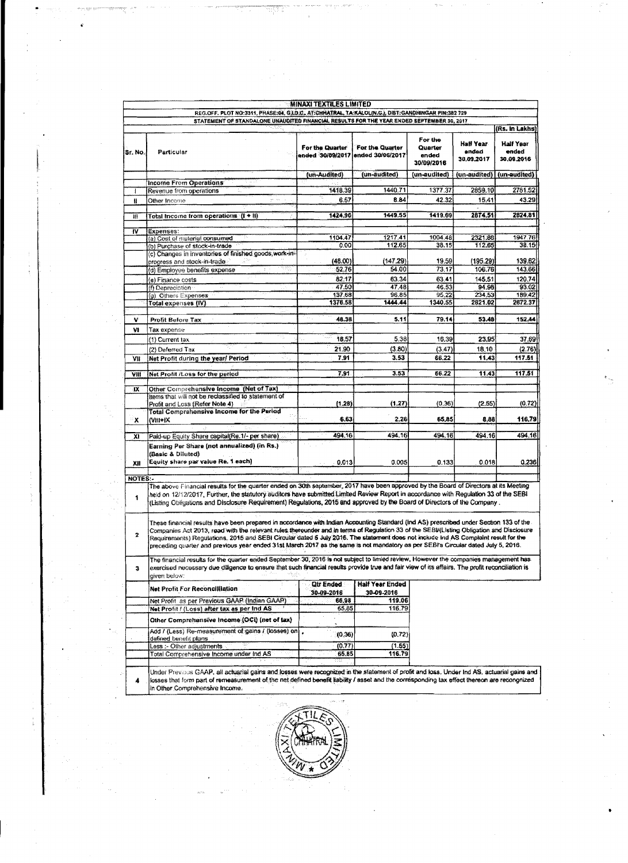|                                                                                                                                                                                                 |                                                                                                                                                                                                                                                                                                                                                                                                                                                                                                                                                               | <b>MINAXI TEXTILES LIMITED</b>      |                                      |                                           |                                  |                                  |  |
|-------------------------------------------------------------------------------------------------------------------------------------------------------------------------------------------------|---------------------------------------------------------------------------------------------------------------------------------------------------------------------------------------------------------------------------------------------------------------------------------------------------------------------------------------------------------------------------------------------------------------------------------------------------------------------------------------------------------------------------------------------------------------|-------------------------------------|--------------------------------------|-------------------------------------------|----------------------------------|----------------------------------|--|
| REG.OFF. PLOT NO:3311, PHASE:04, G.LD.C., AT:CHRATRAL, TA:KALOL(N.G.), DIST:GANDHINGAR PIN:382 729<br>STATEMENT OF STANDALONE UNAUDITED FINANCIAL RESULTS FOR THE YEAR ENDED SEPTEMBER 30, 2017 |                                                                                                                                                                                                                                                                                                                                                                                                                                                                                                                                                               |                                     |                                      |                                           |                                  |                                  |  |
|                                                                                                                                                                                                 |                                                                                                                                                                                                                                                                                                                                                                                                                                                                                                                                                               |                                     |                                      |                                           |                                  | (Rs. In Lakhs)                   |  |
| Sr. No.                                                                                                                                                                                         | Particular                                                                                                                                                                                                                                                                                                                                                                                                                                                                                                                                                    | For the Quarter<br>ended 30/09/2017 | For the Quarter<br>ended 30/06/2017  | For the<br>Quarter<br>ended<br>30/09/2016 | Half Year<br>ended<br>38.09.2017 | Half Year<br>ended<br>30.09.2016 |  |
|                                                                                                                                                                                                 |                                                                                                                                                                                                                                                                                                                                                                                                                                                                                                                                                               | (un-Audited)                        | (un-audited)                         | (un-audited)                              | (un-audited)                     | (un-audited)                     |  |
|                                                                                                                                                                                                 | Income From Operations                                                                                                                                                                                                                                                                                                                                                                                                                                                                                                                                        | 1418.39                             | 1440.71                              | 1377.37                                   | 2859.10                          | 2781.52                          |  |
|                                                                                                                                                                                                 | Revenue from operations                                                                                                                                                                                                                                                                                                                                                                                                                                                                                                                                       | 6.57                                | 8.84                                 | 42.32                                     | 15.41                            | 43.29                            |  |
| Ħ                                                                                                                                                                                               | Other Income                                                                                                                                                                                                                                                                                                                                                                                                                                                                                                                                                  |                                     |                                      |                                           |                                  |                                  |  |
| m                                                                                                                                                                                               | Total Income from operations (I + II)                                                                                                                                                                                                                                                                                                                                                                                                                                                                                                                         | 1424.96                             | 1449.55                              | 1419.69                                   | 2874.51                          | 2824.81                          |  |
| <b>IV</b>                                                                                                                                                                                       | Expenses:                                                                                                                                                                                                                                                                                                                                                                                                                                                                                                                                                     |                                     |                                      |                                           |                                  |                                  |  |
|                                                                                                                                                                                                 | (a) Cost of material consumed                                                                                                                                                                                                                                                                                                                                                                                                                                                                                                                                 | 1104.47                             | 1217.41                              | 1004.48                                   | 2321.88                          | 1947.76                          |  |
|                                                                                                                                                                                                 | (b) Purchase of stock-in-trade                                                                                                                                                                                                                                                                                                                                                                                                                                                                                                                                | 0.00                                | 112.65                               | 38.15                                     | 112.65                           | 38.15                            |  |
|                                                                                                                                                                                                 | (c) Changes in inventories of finished goods, work-in-                                                                                                                                                                                                                                                                                                                                                                                                                                                                                                        | (48.00)                             | (147.29)                             | 19,59                                     | (195.29)                         | 139.62                           |  |
|                                                                                                                                                                                                 | progress and stock-in-trade<br>(d) Employee benefits expense                                                                                                                                                                                                                                                                                                                                                                                                                                                                                                  | 52.76                               | 54.00                                | 73.17                                     | 106.76                           | 143.66                           |  |
|                                                                                                                                                                                                 |                                                                                                                                                                                                                                                                                                                                                                                                                                                                                                                                                               | 82.17                               | 63.34                                | 63.41                                     | 145.51                           | 120.74                           |  |
|                                                                                                                                                                                                 | (e) Finance costs<br>(f) Depreciation                                                                                                                                                                                                                                                                                                                                                                                                                                                                                                                         | 47.50                               | 47.48                                | 46.53                                     | 94.98                            | 93.02                            |  |
|                                                                                                                                                                                                 | (g) Others Expenses                                                                                                                                                                                                                                                                                                                                                                                                                                                                                                                                           | 137.68                              | 96.85                                | 95,22                                     | 234,53                           | 189,42                           |  |
|                                                                                                                                                                                                 | Total expenses (IV)                                                                                                                                                                                                                                                                                                                                                                                                                                                                                                                                           | 1376.58                             | 1444.44                              | 1340.55                                   | 2821.02                          | 2672.37                          |  |
|                                                                                                                                                                                                 |                                                                                                                                                                                                                                                                                                                                                                                                                                                                                                                                                               |                                     |                                      |                                           |                                  |                                  |  |
| ٧                                                                                                                                                                                               | Profit Before Tax                                                                                                                                                                                                                                                                                                                                                                                                                                                                                                                                             | 48.38                               | 5.11                                 | 79.14                                     | 53.48                            | 152.44                           |  |
| ٧I                                                                                                                                                                                              | Tax expense                                                                                                                                                                                                                                                                                                                                                                                                                                                                                                                                                   |                                     |                                      |                                           |                                  |                                  |  |
|                                                                                                                                                                                                 | (1) Current tax                                                                                                                                                                                                                                                                                                                                                                                                                                                                                                                                               | 18.57                               | 5.38                                 | 16,39                                     | 23.95                            | 37.69                            |  |
|                                                                                                                                                                                                 | (2) Deferred Tax                                                                                                                                                                                                                                                                                                                                                                                                                                                                                                                                              | 21.90                               | (3.80)                               | (3.47)                                    | 18.10                            | (2.76)                           |  |
| VII                                                                                                                                                                                             | Net Profit during the year/ Period                                                                                                                                                                                                                                                                                                                                                                                                                                                                                                                            | 7.91                                | 3.53                                 | 66.22                                     | 11,43                            | 117.51                           |  |
| VIII                                                                                                                                                                                            | Net Profit /Loss for the period                                                                                                                                                                                                                                                                                                                                                                                                                                                                                                                               | 7.91                                | 3.53                                 | 66.22                                     | 11.43                            | 117.51                           |  |
| IX                                                                                                                                                                                              | Other Comprehensive Income (Net of Tax)                                                                                                                                                                                                                                                                                                                                                                                                                                                                                                                       |                                     |                                      |                                           |                                  |                                  |  |
|                                                                                                                                                                                                 | Items that will not be reclassified to statement of<br>Profit and Loss (Refer Note 4)                                                                                                                                                                                                                                                                                                                                                                                                                                                                         | (1.28)                              | (1.27)                               | (0.36)                                    | (2.55)                           | (0.72)                           |  |
| ×                                                                                                                                                                                               | <b>Total Comprehensive Income for the Period</b><br>(VIII+IX                                                                                                                                                                                                                                                                                                                                                                                                                                                                                                  | 6.63                                | 2.26                                 | 65.85                                     | 8.88                             | 116,79                           |  |
|                                                                                                                                                                                                 |                                                                                                                                                                                                                                                                                                                                                                                                                                                                                                                                                               |                                     |                                      |                                           |                                  |                                  |  |
| ЖI                                                                                                                                                                                              | Paid-up Equity Share capital(Re.1/- per share)<br>Earning Per Share (not annualized) (in Rs.)<br>(Basic & Diluted)                                                                                                                                                                                                                                                                                                                                                                                                                                            | 494.16                              | 494.16                               | 494.16                                    | 494.16                           | 494.16                           |  |
| XII                                                                                                                                                                                             | Equity share par value Re. 1 each)                                                                                                                                                                                                                                                                                                                                                                                                                                                                                                                            | 0.013                               | 0.005                                | 0.133                                     | 0.018                            | 0.236                            |  |
| NOTES:-                                                                                                                                                                                         |                                                                                                                                                                                                                                                                                                                                                                                                                                                                                                                                                               |                                     |                                      |                                           |                                  |                                  |  |
| 1                                                                                                                                                                                               | The above Financial results for the quarter ended on 30th september, 2017 have been approved by the Board of Directors at its Meeting<br>held on 12/12/2017, Further, the statutory auditors have submitted Limited Review Report in accordance with Regulation 33 of the SEBI<br>(Listing Obligations and Disclosure Requirement) Regulations, 2015 and approved by the Board of Directors of the Company,                                                                                                                                                   |                                     |                                      |                                           |                                  |                                  |  |
| $\overline{\mathbf{z}}$                                                                                                                                                                         | These financial results have been prepared in accordance with Indian Accounting Standard (Ind AS) prescribed under Section 133 of the<br>Companies Act 2013, read with the relevant rules thereunder and in terms of Regulation 33 of the SEBI/(Listing Obligation and Disclosure<br>Requirements) Regulations, 2015 and SEBI Circular dated 5 July 2016. The statement does not include ind AS Complaint result for the<br>preceding quarter and previous year ended 31st March 2017 as the same is not mandatory as per SEBI's Circular dated July 5, 2016. |                                     |                                      |                                           |                                  |                                  |  |
| 3                                                                                                                                                                                               | The financial results for the quarter ended September 30, 2016 is not subject to limied review, However the companies management has<br>exercised necessary due diligence to ensure that such financial results provide true and fair view of its affairs. The profit reconciliation is<br>aiven below:                                                                                                                                                                                                                                                       |                                     |                                      |                                           |                                  |                                  |  |
|                                                                                                                                                                                                 | Net Profit For Reconciliation                                                                                                                                                                                                                                                                                                                                                                                                                                                                                                                                 | <b>Qtr Ended</b><br>30-09-2016      | <b>Half Year Ended</b><br>30-09-2016 |                                           |                                  |                                  |  |
|                                                                                                                                                                                                 | Net Profit as per Previous GAAP (Indian GAAP)                                                                                                                                                                                                                                                                                                                                                                                                                                                                                                                 | 66.98                               | 119.06                               |                                           |                                  |                                  |  |
|                                                                                                                                                                                                 | Net Profit / (Loss) after tax as per Ind AS                                                                                                                                                                                                                                                                                                                                                                                                                                                                                                                   | 65.85                               | 116.79                               |                                           |                                  |                                  |  |
|                                                                                                                                                                                                 | Other Comprehensive Income (OCI) (net of tax)                                                                                                                                                                                                                                                                                                                                                                                                                                                                                                                 |                                     |                                      |                                           |                                  |                                  |  |
|                                                                                                                                                                                                 | Add / (Less) Re-measurement of gains / (losses) on<br>defined benefit plans                                                                                                                                                                                                                                                                                                                                                                                                                                                                                   | (0.36)                              | (0.72)                               |                                           |                                  |                                  |  |
|                                                                                                                                                                                                 | Less :- Other adjustments                                                                                                                                                                                                                                                                                                                                                                                                                                                                                                                                     | (0.77)                              | (1.55)                               |                                           |                                  |                                  |  |
|                                                                                                                                                                                                 | Total Comprehensive Income under Ind AS                                                                                                                                                                                                                                                                                                                                                                                                                                                                                                                       | 65.85                               | 116.79                               |                                           |                                  |                                  |  |
| 4                                                                                                                                                                                               | Under Previous GAAP, all actuarial gains and losses were recognized in the statement of profit and loss. Under Ind AS, actuarial gains and<br>losses that form part of remeasurement of the net defined benefit liability / asset and the corresponding tax effect thereon are recongnized<br>in Other Comprehensive Income.                                                                                                                                                                                                                                  |                                     |                                      |                                           |                                  |                                  |  |

Î

 $\hat{\boldsymbol{\theta}}$  $\frac{1}{4}$